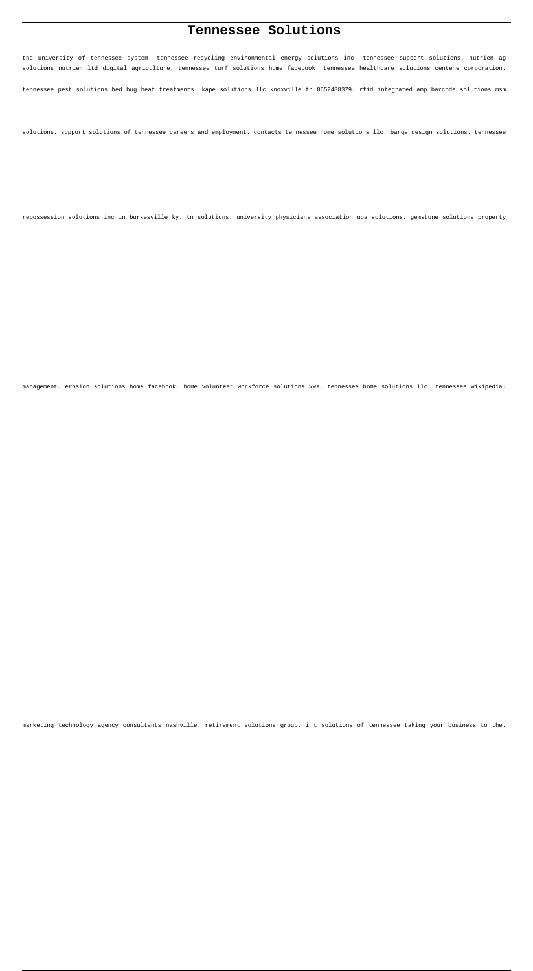# **Tennessee Solutions**

the university of tennessee system. tennessee recycling environmental energy solutions inc. tennessee support solutions. nutrien ag solutions nutrien ltd digital agriculture. tennessee turf solutions home facebook. tennessee healthcare solutions centene corporation.

tennessee pest solutions bed bug heat treatments. kape solutions llc knoxville tn 8652488379. rfid integrated amp barcode solutions msm

solutions. support solutions of tennessee careers and employment. contacts tennessee home solutions llc. barge design solutions. tennessee

repossession solutions inc in burkesville ky. tn solutions. university physicians association upa solutions. gemstone solutions property

management. erosion solutions home facebook. home volunteer workforce solutions vws. tennessee home solutions llc. tennessee wikipedia.

marketing technology agency consultants nashville. retirement solutions group. i t solutions of tennessee taking your business to the.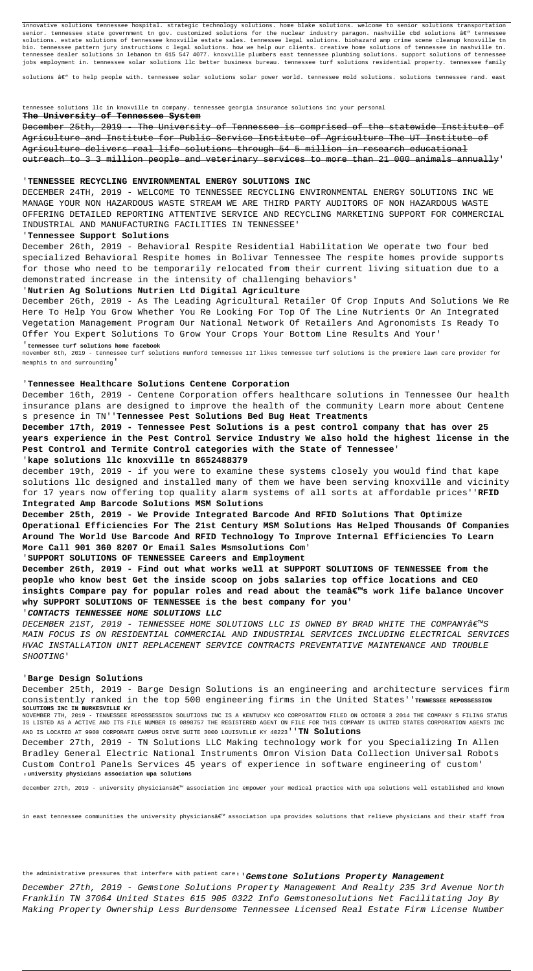innovative solutions tennessee hospital. strategic technology solutions. home blake solutions. welcome to senior solutions transportation senior. tennessee state government tn gov. customized solutions for the nuclear industry paragon. nashville cbd solutions â $\varepsilon$ " tennessee solutions. estate solutions of tennessee knoxville estate sales. tennessee legal solutions. biohazard amp crime scene cleanup knoxville tn bio. tennessee pattern jury instructions c legal solutions. how we help our clients. creative home solutions of tennessee in nashville tn. tennessee dealer solutions in lebanon tn 615 547 4077. knoxville plumbers east tennessee plumbing solutions. support solutions of tennessee jobs employment in. tennessee solar solutions llc better business bureau. tennessee turf solutions residential property. tennessee family

solutions â $\varepsilon$ " to help people with. tennessee solar solutions solar power world. tennessee mold solutions. solutions tennessee rand. east

tennessee solutions llc in knoxville tn company. tennessee georgia insurance solutions inc your personal

## **The University of Tennessee System**

December 25th, 2019 - The University of Tennessee is comprised of the statewide Institute of Agriculture and Institute for Public Service Institute of Agriculture The UT Institute of Agriculture delivers real life solutions through 54 5 million in research educational outreach to 3 3 million people and veterinary services to more than 21 000 animals annually'

### '**TENNESSEE RECYCLING ENVIRONMENTAL ENERGY SOLUTIONS INC**

DECEMBER 24TH, 2019 - WELCOME TO TENNESSEE RECYCLING ENVIRONMENTAL ENERGY SOLUTIONS INC WE MANAGE YOUR NON HAZARDOUS WASTE STREAM WE ARE THIRD PARTY AUDITORS OF NON HAZARDOUS WASTE OFFERING DETAILED REPORTING ATTENTIVE SERVICE AND RECYCLING MARKETING SUPPORT FOR COMMERCIAL INDUSTRIAL AND MANUFACTURING FACILITIES IN TENNESSEE'

## '**Tennessee Support Solutions**

December 26th, 2019 - Behavioral Respite Residential Habilitation We operate two four bed specialized Behavioral Respite homes in Bolivar Tennessee The respite homes provide supports for those who need to be temporarily relocated from their current living situation due to a demonstrated increase in the intensity of challenging behaviors'

## '**Nutrien Ag Solutions Nutrien Ltd Digital Agriculture**

DECEMBER 21ST, 2019 - TENNESSEE HOME SOLUTIONS LLC IS OWNED BY BRAD WHITE THE COMPANY â€<sup>TM</sup>S MAIN FOCUS IS ON RESIDENTIAL COMMERCIAL AND INDUSTRIAL SERVICES INCLUDING ELECTRICAL SERVICES HVAC INSTALLATION UNIT REPLACEMENT SERVICE CONTRACTS PREVENTATIVE MAINTENANCE AND TROUBLE SHOOTING'

December 26th, 2019 - As The Leading Agricultural Retailer Of Crop Inputs And Solutions We Re Here To Help You Grow Whether You Re Looking For Top Of The Line Nutrients Or An Integrated Vegetation Management Program Our National Network Of Retailers And Agronomists Is Ready To Offer You Expert Solutions To Grow Your Crops Your Bottom Line Results And Your'

'**tennessee turf solutions home facebook**

november 6th, 2019 - tennessee turf solutions munford tennessee 117 likes tennessee turf solutions is the premiere lawn care provider for memphis tn and surrounding'

### '**Tennessee Healthcare Solutions Centene Corporation**

December 16th, 2019 - Centene Corporation offers healthcare solutions in Tennessee Our health insurance plans are designed to improve the health of the community Learn more about Centene s presence in TN''**Tennessee Pest Solutions Bed Bug Heat Treatments**

**December 17th, 2019 - Tennessee Pest Solutions is a pest control company that has over 25 years experience in the Pest Control Service Industry We also hold the highest license in the Pest Control and Termite Control categories with the State of Tennessee**'

## '**kape solutions llc knoxville tn 8652488379**

december 19th, 2019 - if you were to examine these systems closely you would find that kape solutions llc designed and installed many of them we have been serving knoxville and vicinity for 17 years now offering top quality alarm systems of all sorts at affordable prices''**RFID Integrated Amp Barcode Solutions MSM Solutions**

**December 25th, 2019 - We Provide Integrated Barcode And RFID Solutions That Optimize Operational Efficiencies For The 21st Century MSM Solutions Has Helped Thousands Of Companies Around The World Use Barcode And RFID Technology To Improve Internal Efficiencies To Learn More Call 901 360 8207 Or Email Sales Msmsolutions Com**'

'**SUPPORT SOLUTIONS OF TENNESSEE Careers and Employment**

**December 26th, 2019 - Find out what works well at SUPPORT SOLUTIONS OF TENNESSEE from the people who know best Get the inside scoop on jobs salaries top office locations and CEO** insights Compare pay for popular roles and read about the teamâ€<sup>™</sup>s work life balance Uncover **why SUPPORT SOLUTIONS OF TENNESSEE is the best company for you**'

## '**CONTACTS TENNESSEE HOME SOLUTIONS LLC**

## '**Barge Design Solutions**

December 25th, 2019 - Barge Design Solutions is an engineering and architecture services firm consistently ranked in the top 500 engineering firms in the United States''**TENNESSEE REPOSSESSION SOLUTIONS INC IN BURKESVILLE KY** NOVEMBER 7TH, 2019 - TENNESSEE REPOSSESSION SOLUTIONS INC IS A KENTUCKY KCO CORPORATION FILED ON OCTOBER 3 2014 THE COMPANY S FILING STATUS IS LISTED AS A ACTIVE AND ITS FILE NUMBER IS 0898757 THE REGISTERED AGENT ON FILE FOR THIS COMPANY IS UNITED STATES CORPORATION AGENTS INC AND IS LOCATED AT 9900 CORPORATE CAMPUS DRIVE SUITE 3000 LOUISVILLE KY 40223''**TN Solutions** December 27th, 2019 - TN Solutions LLC Making technology work for you Specializing In Allen Bradley General Electric National Instruments Omron Vision Data Collection Universal Robots Custom Control Panels Services 45 years of experience in software engineering of custom' '**university physicians association upa solutions**

december 27th, 2019 - university physiciansâ€<sup>m</sup> association inc empower your medical practice with upa solutions well established and known

in east tennessee communities the university physiciansâ $\epsilon^m$  association upa provides solutions that relieve physicians and their staff from

the administrative pressures that interfere with patient care<sub>''</sub>'Gemstone Solutions Property Management

December 27th, 2019 - Gemstone Solutions Property Management And Realty 235 3rd Avenue North Franklin TN 37064 United States 615 905 0322 Info Gemstonesolutions Net Facilitating Joy By Making Property Ownership Less Burdensome Tennessee Licensed Real Estate Firm License Number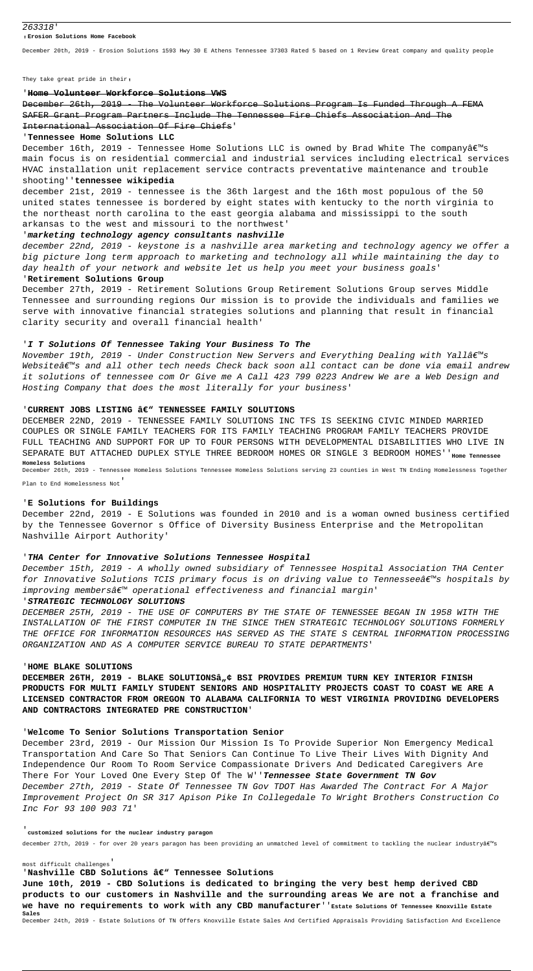#### 263318'

#### '**Erosion Solutions Home Facebook**

December 20th, 2019 - Erosion Solutions 1593 Hwy 30 E Athens Tennessee 37303 Rated 5 based on 1 Review Great company and quality people

They take great pride in their,

## '**Home Volunteer Workforce Solutions VWS**

December 26th, 2019 - The Volunteer Workforce Solutions Program Is Funded Through A FEMA SAFER Grant Program Partners Include The Tennessee Fire Chiefs Association And The International Association Of Fire Chiefs'

December 16th, 2019 - Tennessee Home Solutions LLC is owned by Brad White The companyâ $\epsilon$ <sup>m</sup>s main focus is on residential commercial and industrial services including electrical services HVAC installation unit replacement service contracts preventative maintenance and trouble

#### '**Tennessee Home Solutions LLC**

## shooting''**tennessee wikipedia**

december 21st, 2019 - tennessee is the 36th largest and the 16th most populous of the 50 united states tennessee is bordered by eight states with kentucky to the north virginia to the northeast north carolina to the east georgia alabama and mississippi to the south arkansas to the west and missouri to the northwest'

November 19th, 2019 - Under Construction New Servers and Everything Dealing with Yallâ€<sup>m</sup>s Websiteâ $\varepsilon$  and all other tech needs Check back soon all contact can be done via email andrew it solutions of tennessee com Or Give me A Call 423 799 0223 Andrew We are a Web Design and Hosting Company that does the most literally for your business'

## 'CURRENT JOBS LISTING â€" TENNESSEE FAMILY SOLUTIONS

### '**marketing technology agency consultants nashville**

december 22nd, 2019 - keystone is a nashville area marketing and technology agency we offer a big picture long term approach to marketing and technology all while maintaining the day to day health of your network and website let us help you meet your business goals'

## '**Retirement Solutions Group**

December 15th, 2019 - A wholly owned subsidiary of Tennessee Hospital Association THA Center for Innovative Solutions TCIS primary focus is on driving value to Tennesseeâ $\epsilon_{\text{max}}$  hospitals by improving members $\hat{\mathbf{a}} \in \mathbb{M}$  operational effectiveness and financial margin'

December 27th, 2019 - Retirement Solutions Group Retirement Solutions Group serves Middle Tennessee and surrounding regions Our mission is to provide the individuals and families we serve with innovative financial strategies solutions and planning that result in financial clarity security and overall financial health'

### '**I T Solutions Of Tennessee Taking Your Business To The**

DECEMBER 22ND, 2019 - TENNESSEE FAMILY SOLUTIONS INC TFS IS SEEKING CIVIC MINDED MARRIED COUPLES OR SINGLE FAMILY TEACHERS FOR ITS FAMILY TEACHING PROGRAM FAMILY TEACHERS PROVIDE FULL TEACHING AND SUPPORT FOR UP TO FOUR PERSONS WITH DEVELOPMENTAL DISABILITIES WHO LIVE IN SEPARATE BUT ATTACHED DUPLEX STYLE THREE BEDROOM HOMES OR SINGLE 3 BEDROOM HOMES'<sup>'</sup> Home Tennessee **Homeless Solutions**

December 26th, 2019 - Tennessee Homeless Solutions Tennessee Homeless Solutions serving 23 counties in West TN Ending Homelessness Together

Plan to End Homelessness Not'

## '**E Solutions for Buildings**

December 22nd, 2019 - E Solutions was founded in 2010 and is a woman owned business certified by the Tennessee Governor s Office of Diversity Business Enterprise and the Metropolitan Nashville Airport Authority'

### '**THA Center for Innovative Solutions Tennessee Hospital**

### '**STRATEGIC TECHNOLOGY SOLUTIONS**

DECEMBER 25TH, 2019 - THE USE OF COMPUTERS BY THE STATE OF TENNESSEE BEGAN IN 1958 WITH THE INSTALLATION OF THE FIRST COMPUTER IN THE SINCE THEN STRATEGIC TECHNOLOGY SOLUTIONS FORMERLY THE OFFICE FOR INFORMATION RESOURCES HAS SERVED AS THE STATE S CENTRAL INFORMATION PROCESSING ORGANIZATION AND AS A COMPUTER SERVICE BUREAU TO STATE DEPARTMENTS'

#### '**HOME BLAKE SOLUTIONS**

**DECEMBER 26TH, 2019 - BLAKE SOLUTIONSâ"¢ BSI PROVIDES PREMIUM TURN KEY INTERIOR FINISH PRODUCTS FOR MULTI FAMILY STUDENT SENIORS AND HOSPITALITY PROJECTS COAST TO COAST WE ARE A LICENSED CONTRACTOR FROM OREGON TO ALABAMA CALIFORNIA TO WEST VIRGINIA PROVIDING DEVELOPERS AND CONTRACTORS INTEGRATED PRE CONSTRUCTION**'

## '**Welcome To Senior Solutions Transportation Senior**

December 23rd, 2019 - Our Mission Our Mission Is To Provide Superior Non Emergency Medical Transportation And Care So That Seniors Can Continue To Live Their Lives With Dignity And Independence Our Room To Room Service Compassionate Drivers And Dedicated Caregivers Are There For Your Loved One Every Step Of The W''**Tennessee State Government TN Gov** December 27th, 2019 - State Of Tennessee TN Gov TDOT Has Awarded The Contract For A Major Improvement Project On SR 317 Apison Pike In Collegedale To Wright Brothers Construction Co Inc For 93 100 903 71'

#### '**customized solutions for the nuclear industry paragon**

december 27th, 2019 - for over 20 years paragon has been providing an unmatched level of commitment to tackling the nuclear industryâ€<sup>m</sup>s

most difficult challenges'

### 'Nashville CBD Solutions â€" Tennessee Solutions

**June 10th, 2019 - CBD Solutions is dedicated to bringing the very best hemp derived CBD products to our customers in Nashville and the surrounding areas We are not a franchise and we have no requirements to work with any CBD manufacturer**''**Estate Solutions Of Tennessee Knoxville Estate Sales**

December 24th, 2019 - Estate Solutions Of TN Offers Knoxville Estate Sales And Certified Appraisals Providing Satisfaction And Excellence